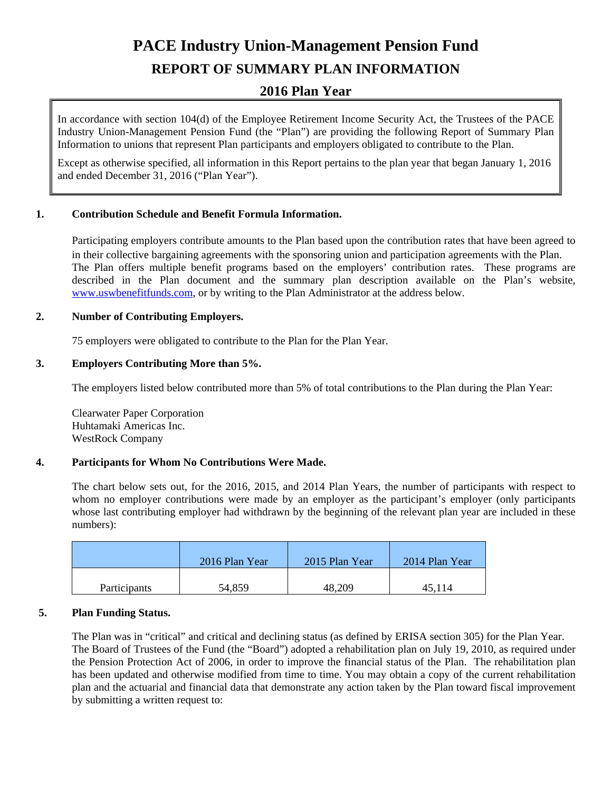# **PACE Industry Union-Management Pension Fund**

# **REPORT OF SUMMARY PLAN INFORMATION**

# **2016 Plan Year**

In accordance with section 104(d) of the Employee Retirement Income Security Act, the Trustees of the PACE Industry Union-Management Pension Fund (the "Plan") are providing the following Report of Summary Plan Information to unions that represent Plan participants and employers obligated to contribute to the Plan.

Except as otherwise specified, all information in this Report pertains to the plan year that began January 1, 2016 and ended December 31, 2016 ("Plan Year").

# **1. Contribution Schedule and Benefit Formula Information.**

Participating employers contribute amounts to the Plan based upon the contribution rates that have been agreed to in their collective bargaining agreements with the sponsoring union and participation agreements with the Plan. The Plan offers multiple benefit programs based on the employers' contribution rates. These programs are described in the Plan document and the summary plan description available on the Plan's website, www.uswbenefitfunds.com, or by writing to the Plan Administrator at the address below.

# **2. Number of Contributing Employers.**

75 employers were obligated to contribute to the Plan for the Plan Year.

### **3. Employers Contributing More than 5%.**

The employers listed below contributed more than 5% of total contributions to the Plan during the Plan Year:

 Clearwater Paper Corporation Huhtamaki Americas Inc. WestRock Company

# **4. Participants for Whom No Contributions Were Made.**

The chart below sets out, for the 2016, 2015, and 2014 Plan Years, the number of participants with respect to whom no employer contributions were made by an employer as the participant's employer (only participants whose last contributing employer had withdrawn by the beginning of the relevant plan year are included in these numbers):

|                     | 2016 Plan Year | 2015 Plan Year | 2014 Plan Year |
|---------------------|----------------|----------------|----------------|
| <b>Participants</b> | 54,859         | 48,209         | 45,114         |

# **5. Plan Funding Status.**

The Plan was in "critical" and critical and declining status (as defined by ERISA section 305) for the Plan Year. The Board of Trustees of the Fund (the "Board") adopted a rehabilitation plan on July 19, 2010, as required under the Pension Protection Act of 2006, in order to improve the financial status of the Plan. The rehabilitation plan has been updated and otherwise modified from time to time. You may obtain a copy of the current rehabilitation plan and the actuarial and financial data that demonstrate any action taken by the Plan toward fiscal improvement by submitting a written request to: